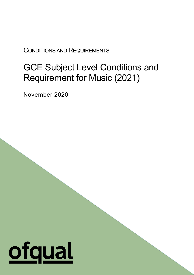CONDITIONS AND REQUIREMENTS

# GCE Subject Level Conditions and Requirement for Music (2021)

1

November 2020

# <u>ofqual</u>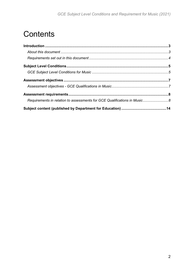# **Contents**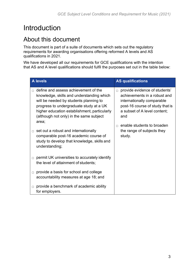# <span id="page-2-0"></span>Introduction

# <span id="page-2-1"></span>About this document

This document is part of a suite of documents which sets out the regulatory requirements for awarding organisations offering reformed A levels and AS qualifications in 2021.

We have developed all our requirements for GCE qualifications with the intention that AS and A level qualifications should fulfil the purposes set out in the table below:

| <b>A</b> levels |                                                                                                                                                                                                                                                                                                                                                             | <b>AS qualifications</b>                                                                                                                                                                                                                                        |  |
|-----------------|-------------------------------------------------------------------------------------------------------------------------------------------------------------------------------------------------------------------------------------------------------------------------------------------------------------------------------------------------------------|-----------------------------------------------------------------------------------------------------------------------------------------------------------------------------------------------------------------------------------------------------------------|--|
|                 | define and assess achievement of the<br>knowledge, skills and understanding which<br>will be needed by students planning to<br>progress to undergraduate study at a UK<br>higher education establishment, particularly<br>(although not only) in the same subject<br>area;<br>set out a robust and internationally<br>comparable post-16 academic course of | provide evidence of students'<br>$\Box$<br>achievements in a robust and<br>internationally comparable<br>post-16 course of study that is<br>a subset of A level content;<br>and<br>enable students to broaden<br>$\Box$<br>the range of subjects they<br>study. |  |
| $\Box$          | study to develop that knowledge, skills and<br>understanding;<br>permit UK universities to accurately identify                                                                                                                                                                                                                                              |                                                                                                                                                                                                                                                                 |  |
| $\Box$          | the level of attainment of students;<br>provide a basis for school and college                                                                                                                                                                                                                                                                              |                                                                                                                                                                                                                                                                 |  |
| $\Box$          | accountability measures at age 18; and<br>provide a benchmark of academic ability                                                                                                                                                                                                                                                                           |                                                                                                                                                                                                                                                                 |  |
|                 | for employers.                                                                                                                                                                                                                                                                                                                                              |                                                                                                                                                                                                                                                                 |  |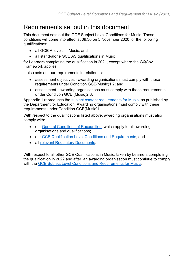# <span id="page-3-0"></span>Requirements set out in this document

This document sets out the GCE Subject Level Conditions for Music. These conditions will come into effect at 09:30 on 5 November 2020 for the following qualifications:

- all GCE A levels in Music; and
- all stand-alone GCE AS qualifications in Music

for Learners completing the qualification in 2021, except where the GQCov Framework applies.

It also sets out our requirements in relation to:

- assessment objectives awarding organisations must comply with these requirements under Condition GCE(Music)1.2; and
- assessment awarding organisations must comply with these requirements under Condition GCE (Music)2.3.

Appendix 1 reproduces the [subject content requirements for Music,](https://www.gov.uk/government/publications/gce-as-and-a-level-music) as published by the Department for Education. Awarding organisations must comply with these requirements under Condition GCE(Music)1.1.

With respect to the qualifications listed above, awarding organisations must also comply with:

- our [General Conditions of Recognition,](https://www.gov.uk/guidance/ofqual-handbook) which apply to all awarding organisations and qualifications;
- our [GCE Qualification Level Conditions and Requirements;](https://www.gov.uk/government/publications/gce-qualification-level-conditions-and-requirements) and
- all [relevant Regulatory Documents.](https://www.gov.uk/guidance/regulatory-document-list)

With respect to all other GCE Qualifications in Music, taken by Learners completing the qualification in 2022 and after, an awarding organisation must continue to comply with the [GCE Subject Level Conditions and Requirements for Music.](https://www.gov.uk/government/publications/gce-subject-level-conditions-and-requirements-for-music)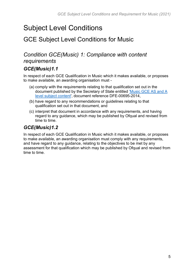# <span id="page-4-0"></span>Subject Level Conditions

# <span id="page-4-1"></span>GCE Subject Level Conditions for Music

# *Condition GCE(Music) 1: Compliance with content requirements*

#### *GCE(Music)1.1*

In respect of each GCE Qualification in Music which it makes available, or proposes to make available, an awarding organisation must -

- (a) comply with the requirements relating to that qualification set out in the document published by the Secretary of State entitled ['Music GCE AS and A](https://www.gov.uk/government/publications/gce-subject-level-conditions-and-requirements-for-music)  [level subject content'](https://www.gov.uk/government/publications/gce-subject-level-conditions-and-requirements-for-music), document reference DFE-00695-2014,
- (b) have regard to any recommendations or guidelines relating to that qualification set out in that document, and
- (c) interpret that document in accordance with any requirements, and having regard to any guidance, which may be published by Ofqual and revised from time to time.

#### *GCE(Music)1.2*

In respect of each GCE Qualification in Music which it makes available, or proposes to make available, an awarding organisation must comply with any requirements, and have regard to any guidance, relating to the objectives to be met by any assessment for that qualification which may be published by Ofqual and revised from time to time.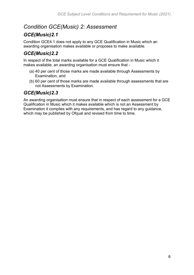# *Condition GCE(Music) 2: Assessment*

#### *GCE(Music)2.1*

Condition GCE4.1 does not apply to any GCE Qualification in Music which an awarding organisation makes available or proposes to make available.

# *GCE(Music)2.2*

In respect of the total marks available for a GCE Qualification in Music which it makes available, an awarding organisation must ensure that -

- (a) 40 per cent of those marks are made available through Assessments by Examination, and
- (b) 60 per cent of those marks are made available through assessments that are not Assessments by Examination.

#### *GCE(Music)2.3*

An awarding organisation must ensure that in respect of each assessment for a GCE Qualification in Music which it makes available which is not an Assessment by Examination it complies with any requirements, and has regard to any guidance, which may be published by Ofqual and revised from time to time.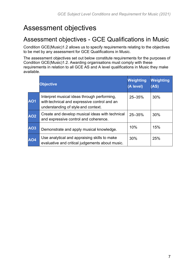# <span id="page-6-0"></span>Assessment objectives

# <span id="page-6-1"></span>Assessment objectives - GCE Qualifications in Music

Condition GCE(Music)1.2 allows us to specify requirements relating to the objectives to be met by any assessment for GCE Qualifications in Music.

The assessment objectives set out below constitute requirements for the purposes of Condition GCE(Music)1.2. Awarding organisations must comply with these requirements in relation to all GCE AS and A level qualifications in Music they make available.

|            | <b>Objective</b>                                                                                                                   | <b>Weighting</b><br>(A level) | <b>Weighting</b><br>(AS) |
|------------|------------------------------------------------------------------------------------------------------------------------------------|-------------------------------|--------------------------|
| <b>AO1</b> | Interpret musical ideas through performing,<br>with technical and expressive control and an<br>understanding of style and context. | $25 - 35%$                    | 30%                      |
| <b>AO2</b> | Create and develop musical ideas with technical<br>and expressive control and coherence.                                           | $25 - 35%$                    | 30%                      |
| <b>AO3</b> | Demonstrate and apply musical knowledge.                                                                                           | 10%                           | 15%                      |
| <b>AO4</b> | Use analytical and appraising skills to make<br>evaluative and critical judgements about music.                                    | 30%                           | 25%                      |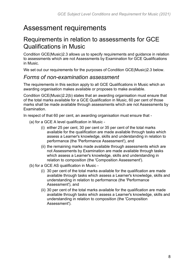# <span id="page-7-0"></span>Assessment requirements

# <span id="page-7-1"></span>Requirements in relation to assessments for GCE Qualifications in Music

Condition GCE(Music)2.3 allows us to specify requirements and guidance in relation to assessments which are not Assessments by Examination for GCE Qualifications in Music.

We set out our requirements for the purposes of Condition GCE(Music)2.3 below.

#### *Forms of non-examination assessment*

The requirements in this section apply to all GCE Qualifications in Music which an awarding organisation makes available or proposes to make available.

Condition GCE(Music)2.2(b) states that an awarding organisation must ensure that of the total marks available for a GCE Qualification in Music, 60 per cent of those marks shall be made available through assessments which are not Assessments by Examination.

In respect of that 60 per cent, an awarding organisation must ensure that -

- (a) for a GCE A level qualification in Music
	- (i) either 25 per cent, 30 per cent or 35 per cent of the total marks available for the qualification are made available through tasks which assess a Learner's knowledge, skills and understanding in relation to performance (the 'Performance Assessment'), and
	- (ii) the remaining marks made available through assessments which are not Assessments by Examination are made available through tasks which assess a Learner's knowledge, skills and understanding in relation to composition (the 'Composition Assessment').
- (b) for a GCE AS qualification in Music
	- (i) 30 per cent of the total marks available for the qualification are made available through tasks which assess a Learner's knowledge, skills and understanding in relation to performance (the 'Performance Assessment'), and
	- (ii) 30 per cent of the total marks available for the qualification are made available through tasks which assess a Learner's knowledge, skills and understanding in relation to composition (the 'Composition Assessment').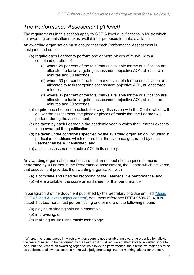# *The Performance Assessment (A level)*

The requirements in this section apply to GCE A level qualifications in Music which an awarding organisation makes available or proposes to make available.

An awarding organisation must ensure that each Performance Assessment is designed and set to -

- (a) require each Learner to perform one or more pieces of music, with a combined duration of -
	- (i) where 25 per cent of the total marks available for the qualification are allocated to tasks targeting assessment objective AO1, at least two minutes and 30 seconds,
	- (ii) where 30 per cent of the total marks available for the qualification are allocated to tasks targeting assessment objective AO1, at least three minutes,
	- (iii) where 35 per cent of the total marks available for the qualification are allocated to tasks targeting assessment objective AO1, at least three minutes and 30 seconds,
- (b) require each Learner to select, following discussion with the Centre which will deliver the assessment, the piece or pieces of music that the Learner will perform during the assessment,
- (c) be taken by each Learner in the academic year in which that Learner expects to be awarded the qualification,
- (d) be taken under conditions specified by the awarding organisation, including in particular, conditions which ensure that the evidence generated by each Learner can be Authenticated, and
- (e) assess assessment objective AO1 in its entirety.

An awarding organisation must ensure that, in respect of each piece of music performed by a Learner in the Performance Assessment, the Centre which delivered that assessment provides the awarding organisation with -

- (a) a complete and unedited recording of the Learner's live performance, and
- (b) where available, the score or lead sheet for that performance.<sup>1</sup>

In paragraph 8 of the document published by the Secretary of State entitled ['Music](https://www.gov.uk/government/publications/gce-as-and-a-level-music)  [GCE AS and A level subject content'](https://www.gov.uk/government/publications/gce-as-and-a-level-music), document reference DFE-00695-2014, it is stated that Learners must perform using one or more of the following means -

- (a) playing or singing solo or in ensemble,
- (b) improvising, or
- (c) realising music using music technology.

 $1$  Where, in circumstances in which a written score is not available, an awarding organisation allows the piece of music to be performed by the Learner, it must require an alternative to a written score to be submitted. Where an awarding organisation allows the performance, the alternative materials must be sufficient to allow assessors to make valid judgements against the marking criteria for the task.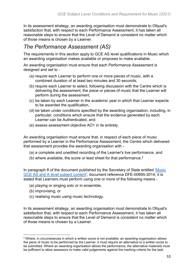In its assessment strategy, an awarding organisation must demonstrate to Ofqual's satisfaction that, with respect to each Performance Assessment, it has taken all reasonable steps to ensure that the Level of Demand is consistent no matter which of those means is chosen by a Learner.

#### *The Performance Assessment (AS)*

The requirements in this section apply to GCE AS level qualifications in Music which an awarding organisation makes available or proposes to make available.

An awarding organisation must ensure that each Performance Assessment is designed and set to -

- (a) require each Learner to perform one or more pieces of music, with a combined duration of at least two minutes and 30 seconds,
- (b) require each Learner to select, following discussion with the Centre which is delivering the assessment, the piece or pieces of music that the Learner will perform during the assessment,
- (c) be taken by each Learner in the academic year in which that Learner expects to be awarded the qualification,
- (d) be taken under conditions specified by the awarding organisation, including, in particular, conditions which ensure that the evidence generated by each Learner can be Authenticated, and
- (e) assess assessment objective AO1 in its entirety.

An awarding organisation must ensure that, in respect of each piece of music performed by a Learner in the Performance Assessment, the Centre which delivered that assessment provides the awarding organisation with -

- (a) a complete and unedited recording of the Learner's live performance, and
- (b) where available, the score or lead sheet for that performance.<sup>2</sup>

In paragraph 8 of the document published by the Secretary of State entitled ['Music](https://www.gov.uk/government/publications/gce-as-and-a-level-music)  [GCE AS and A level subject content'](https://www.gov.uk/government/publications/gce-as-and-a-level-music), document reference DFE-00695-2014, it is stated that Learners must perform using one or more of the following means -

- (a) playing or singing solo or in ensemble,
- (b) improvising, or
- (c) realising music using music technology.

In its assessment strategy, an awarding organisation must demonstrate to Ofqual's satisfaction that, with respect to each Performance Assessment, it has taken all reasonable steps to ensure that the Level of Demand is consistent no matter which of those means is chosen by a Learner.

 $2$  Where, in circumstances in which a written score is not available, an awarding organisation allows the piece of music to be performed by the Learner, it must require an alternative to a written score to be submitted. Where an awarding organisation allows the performance, the alternative materials must be sufficient to allow assessors to make valid judgements against the marking criteria for the task.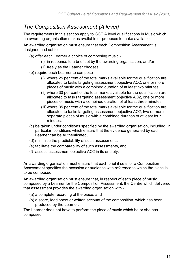# *The Composition Assessment (A level)*

The requirements in this section apply to GCE A level qualifications in Music which an awarding organisation makes available or proposes to make available.

An awarding organisation must ensure that each Composition Assessment is designed and set to -

- (a) offer each Learner a choice of composing music
	- (i) in response to a brief set by the awarding organisation, and/or
	- (ii) freely as the Learner chooses,
- (b) require each Learner to compose
	- (i) where 25 per cent of the total marks available for the qualification are allocated to tasks targeting assessment objective AO2, one or more pieces of music with a combined duration of at least two minutes,
	- (ii) where 30 per cent of the total marks available for the qualification are allocated to tasks targeting assessment objective AO2, one or more pieces of music with a combined duration of at least three minutes,
	- (iii) where 35 per cent of the total marks available for the qualification are allocated to tasks targeting assessment objective AO2, two or more separate pieces of music with a combined duration of at least four minutes,
- (c) be taken under conditions specified by the awarding organisation, including, in particular, conditions which ensure that the evidence generated by each Learner can be Authenticated,
- (d) minimise the predictability of such assessments,
- (e) facilitate the comparability of such assessments, and
- (f) assess assessment objective AO2 in its entirety.

An awarding organisation must ensure that each brief it sets for a Composition Assessment specifies the occasion or audience with reference to which the piece is to be composed.

An awarding organisation must ensure that, in respect of each piece of music composed by a Learner for the Composition Assessment, the Centre which delivered that assessment provides the awarding organisation with -

- (a) a complete recording of the piece, and
- (b) a score, lead sheet or written account of the composition, which has been produced by the Learner.

The Learner does not have to perform the piece of music which he or she has composed.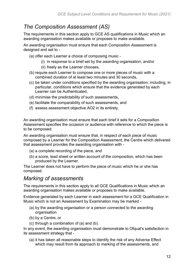# *The Composition Assessment (AS)*

The requirements in this section apply to GCE AS qualifications in Music which an awarding organisation makes available or proposes to make available.

An awarding organisation must ensure that each Composition Assessment is designed and set to -

- (a) offer each Learner a choice of composing music
	- (i) in response to a brief set by the awarding organisation, and/or
	- (ii) freely as the Learner chooses,
- (b) require each Learner to compose one or more pieces of music with a combined duration of at least two minutes and 30 seconds,
- (c) be taken under conditions specified by the awarding organisation, including, in particular, conditions which ensure that the evidence generated by each Learner can be Authenticated,
- (d) minimise the predictability of such assessments,
- (e) facilitate the comparability of such assessments, and
- (f) assess assessment objective AO2 in its entirety.

An awarding organisation must ensure that each brief it sets for a Composition Assessment specifies the occasion or audience with reference to which the piece is to be composed.

An awarding organisation must ensure that, in respect of each piece of music composed by a Learner for the Composition Assessment, the Centre which delivered that assessment provides the awarding organisation with -

- (a) a complete recording of the piece, and
- (b) a score, lead sheet or written account of the composition, which has been produced by the Learner.

The Learner does not have to perform the piece of music which he or she has composed.

#### *Marking of assessments*

The requirements in this section apply to all GCE Qualifications in Music which an awarding organisation makes available or proposes to make available.

Evidence generated by each Learner in each assessment for a GCE Qualification in Music which is not an Assessment by Examination may be marked -

- (a) by the awarding organisation or a person connected to the awarding organisation
- (b) by a Centre, or
- (c) through a combination of (a) and (b).

In any event, the awarding organisation must demonstrate to Ofqual's satisfaction in its assessment strategy that -

(a) it has taken all reasonable steps to identify the risk of any Adverse Effect which may result from its approach to marking of the assessments, and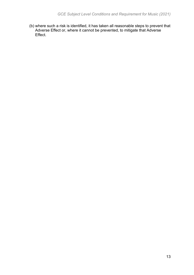(b) where such a risk is identified, it has taken all reasonable steps to prevent that Adverse Effect or, where it cannot be prevented, to mitigate that Adverse Effect.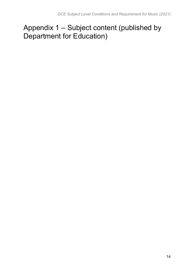# <span id="page-13-0"></span>Appendix 1 – Subject content (published by Department for Education)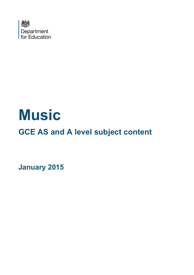

# **Music**

**GCE AS and A level subject content**

**January 2015**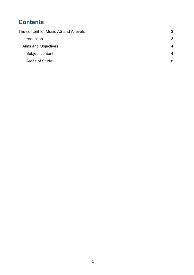# **Contents**

| The content for Music AS and A levels |                       |
|---------------------------------------|-----------------------|
| Introduction                          | 3                     |
| Aims and Objectives                   | $\boldsymbol{\Delta}$ |
| Subject content                       | 4                     |
| Areas of Study                        | 8                     |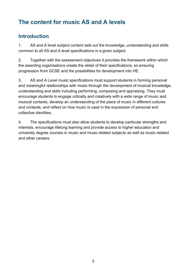# <span id="page-16-0"></span>**The content for music AS and A levels**

#### <span id="page-16-1"></span>**Introduction**

1. AS and A level subject content sets out the knowledge, understanding and skills common to all AS and A level specifications in a given subject.

2. Together with the assessment objectives it provides the framework within which the awarding organisations create the detail of their specifications, so ensuring progression from GCSE and the possibilities for development into HE.

3. AS and A Level music specifications must support students in forming personal and meaningful relationships with music through the development of musical knowledge, understanding and skills including performing, composing and appraising. They must encourage students to engage critically and creatively with a wide range of music and musical contexts, develop an understanding of the place of music in different cultures and contexts, and reflect on how music is used in the expression of personal and collective identities.

4. The specifications must also allow students to develop particular strengths and interests, encourage lifelong learning and provide access to higher education and university degree courses in music and music-related subjects as well as music-related and other careers.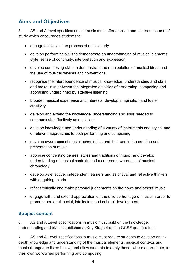# <span id="page-17-0"></span>**Aims and Objectives**

5. AS and A level specifications in music must offer a broad and coherent course of study which encourages students to:

- engage actively in the process of music study
- develop performing skills to demonstrate an understanding of musical elements, style, sense of continuity, interpretation and expression
- develop composing skills to demonstrate the manipulation of musical ideas and the use of musical devices and conventions
- recognise the interdependence of musical knowledge, understanding and skills, and make links between the integrated activities of performing, composing and appraising underpinned by attentive listening
- broaden musical experience and interests, develop imagination and foster creativity
- develop and extend the knowledge, understanding and skills needed to communicate effectively as musicians
- develop knowledge and understanding of a variety of instruments and styles, and of relevant approaches to both performing and composing
- develop awareness of music technologies and their use in the creation and presentation of music
- appraise contrasting genres, styles and traditions of music, and develop understanding of musical contexts and a coherent awareness of musical chronology
- develop as effective, independent learners and as critical and reflective thinkers with enquiring minds
- reflect critically and make personal judgements on their own and others' music
- engage with, and extend appreciation of, the diverse heritage of music in order to promote personal, social, intellectual and cultural development

#### <span id="page-17-1"></span>**Subject content**

6. AS and A Level specifications in music must build on the knowledge, understanding and skills established at Key Stage 4 and in GCSE qualifications.

7. AS and A Level specifications in music must require students to develop an indepth knowledge and understanding of the musical elements, musical contexts and musical language listed below, and allow students to apply these, where appropriate, to their own work when performing and composing.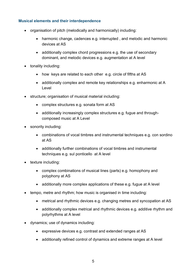#### **Musical elements and their interdependence**

- organisation of pitch (melodically and harmonically) including:
	- harmonic change, cadences e.g. interrupted , and melodic and harmonic devices at AS
	- additionally complex chord progressions e.g. the use of secondary dominant, and melodic devices e.g. augmentation at A level
- tonality including:
	- how keys are related to each other e.g. circle of fifths at AS
	- additionally complex and remote key relationships e.g. enharmonic at A Level
- structure; organisation of musical material including:
	- complex structures e.g. sonata form at AS
	- additionally increasingly complex structures e.g. fugue and throughcomposed music at A Level
- sonority including:
	- combinations of vocal timbres and instrumental techniques e.g. con sordino at AS
	- additionally further combinations of vocal timbres and instrumental techniques e.g. sul ponticello at A level
- texture including:
	- complex combinations of musical lines (parts) e.g. homophony and polyphony at AS
	- additionally more complex applications of these e.g. fugue at A level
- tempo, metre and rhythm; how music is organised in time including:
	- metrical and rhythmic devices e.g. changing metres and syncopation at AS
	- additionally complex metrical and rhythmic devices e.g. additive rhythm and polyrhythms at A level
- dynamics; use of dynamics including:
	- expressive devices e.g. contrast and extended ranges at AS
	- additionally refined control of dynamics and extreme ranges at A level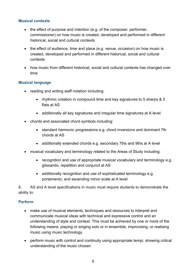#### **Musical contexts**

- the effect of purpose and intention (e.g. of the composer, performer, commissioner) on how music is created, developed and performed in different historical, social and cultural contexts
- the effect of audience, time and place (e.g. venue, occasion) on how music is created, developed and performed in different historical, social and cultural contexts
- how music from different historical, social and cultural contexts has changed over time

#### **Musical language**

- reading and writing staff notation including:
	- rhythmic notation in compound time and key signatures to 5 sharps & 5 flats at AS
	- additionally all key signatures and irregular time signatures at A level
- chords and associated chord symbols including:
	- standard harmonic progressions e.g. chord inversions and dominant 7th chords at AS
	- additionally extended chords e.g. secondary 7ths and 9ths at A level
- musical vocabulary and terminology related to the Areas of Study including:
	- recognition and use of appropriate musical vocabulary and terminology e.g. glissando, repetition and conjunct at AS
	- additionally recognition and use of sophisticated terminology e.g. portamento, and ascending minor scale at A level

8. AS and A level specifications in music must require students to demonstrate the ability to:

#### **Perform**

- make use of musical elements, techniques and resources to interpret and communicate musical ideas with technical and expressive control and an understanding of style and context. This must be achieved by one or more of the following means: playing or singing solo or in ensemble, improvising, or realising music using music technology
- perform music with control and continuity using appropriate tempi, showing critical understanding of the music chosen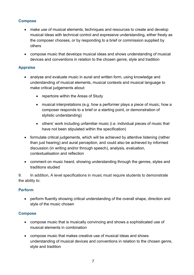#### **Compose**

- make use of musical elements, techniques and resources to create and develop musical ideas with technical control and expressive understanding, either freely as the composer chooses, or by responding to a brief or commission supplied by others
- compose music that develops musical ideas and shows understanding of musical devices and conventions in relation to the chosen genre, style and tradition

#### **Appraise**

- analyse and evaluate music in aural and written form, using knowledge and understanding of musical elements, musical contexts and musical language to make critical judgements about:
	- repertoire within the Areas of Study
	- musical interpretations (e.g. how a performer plays a piece of music, how a composer responds to a brief or a starting point, or demonstration of stylistic understanding)
	- others' work including unfamiliar music (i.e. individual pieces of music that have not been stipulated within the specification)
- formulate critical judgements, which will be achieved by attentive listening (rather than just hearing) and aural perception, and could also be achieved by informed discussion (in writing and/or through speech), analysis, evaluation, contextualisation and reflection
- comment on music heard, showing understanding through the genres, styles and traditions studied

9. In addition, A level specifications in music must require students to demonstrate the ability to:

#### **Perform**

• perform fluently showing critical understanding of the overall shape, direction and style of the music chosen

#### **Compose**

- compose music that is musically convincing and shows a sophisticated use of musical elements in combination
- compose music that makes creative use of musical ideas and shows understanding of musical devices and conventions in relation to the chosen genre, style and tradition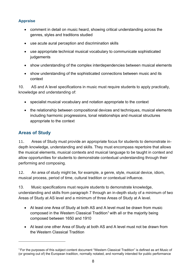#### **Appraise**

- comment in detail on music heard, showing critical understanding across the genres, styles and traditions studied
- use acute aural perception and discrimination skills
- use appropriate technical musical vocabulary to communicate sophisticated **judgements**
- show understanding of the complex interdependencies between musical elements
- show understanding of the sophisticated connections between music and its context

10. AS and A level specifications in music must require students to apply practically, knowledge and understanding of:

- specialist musical vocabulary and notation appropriate to the context
- the relationship between compositional devices and techniques, musical elements including harmonic progressions, tonal relationships and musical structures appropriate to the context

#### <span id="page-21-0"></span>**Areas of Study**

11. Areas of Study must provide an appropriate focus for students to demonstrate indepth knowledge, understanding and skills. They must encompass repertoire that allows the musical elements, musical contexts and musical language to be taught in context and allow opportunities for students to demonstrate contextual understanding through their performing and composing.

12. An area of study might be, for example, a genre, style, musical device, idiom, musical process, period of time, cultural tradition or contextual influence.

13. Music specifications must require students to demonstrate knowledge, understanding and skills from paragraph 7 through an in-depth study of a minimum of two Areas of Study at AS level and a minimum of three Areas of Study at A level.

- At least one Area of Study at both AS and A level must be drawn from music composed in the Western Classical Tradition<sup>1</sup> with all or the majority being composed between 1650 and 1910
- At least one other Area of Study at both AS and A level must not be drawn from the Western Classical Tradition

<sup>1</sup> For the purposes of this subject content document "Western Classical Tradition" is defined as art Music of (or growing out of) the European tradition, normally notated, and normally intended for public performance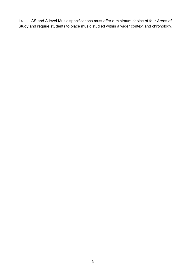14. AS and A level Music specifications must offer a minimum choice of four Areas of Study and require students to place music studied within a wider context and chronology.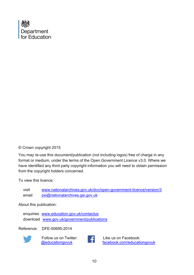

#### © Crown copyright 2015

You may re-use this document/publication (not including logos) free of charge in any format or medium, under the terms of the Open Government Licence v3.0. Where we have identified any third party copyright information you will need to obtain permission from the copyright holders concerned.

To view this licence:

visit [www.nationalarchives.gov.uk/doc/open-government-licence/version/3](http://www.nationalarchives.gov.uk/doc/open-government-licence/version/2) email [psi@nationalarchives.gsi.gov.uk](mailto:psi@nationalarchives.gsi.gov.uk)

About this publication:

enquiries [www.education.gov.uk/contactus](http://www.education.gov.uk/contactus) download [www.gov.uk/government/publications](http://www.gov.uk/government/publications)

Reference: DFE-00695-2014



Follow us on Twitter: [@educationgovuk](http://twitter.com/educationgovuk)



Like us on Facebook: [facebook.com/educationgovuk](http://www.facebook.com/educationgovuk)